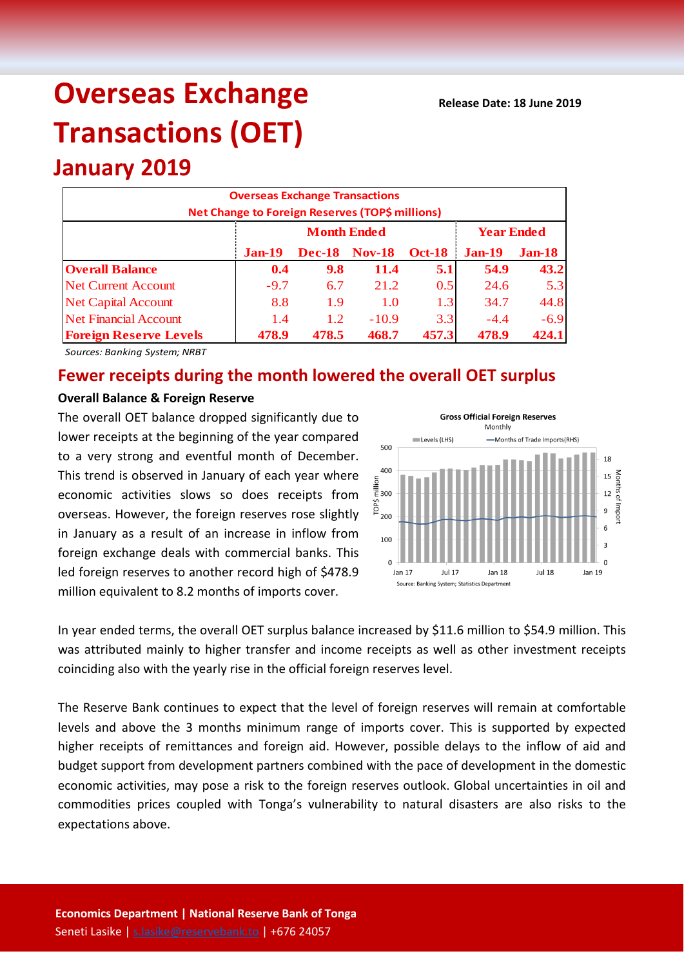# **Overseas Exchange Transactions (OET)**

## **January 2019**

| <b>Overseas Exchange Transactions</b><br>Net Change to Foreign Reserves (TOP\$ millions) |          |                    |                   |               |          |               |  |  |  |
|------------------------------------------------------------------------------------------|----------|--------------------|-------------------|---------------|----------|---------------|--|--|--|
|                                                                                          |          | <b>Month Ended</b> | <b>Year Ended</b> |               |          |               |  |  |  |
|                                                                                          | $Jan-19$ | <b>Dec-18</b>      | <b>Nov-18</b>     | <b>Oct-18</b> | $Jan-19$ | <b>Jan-18</b> |  |  |  |
| <b>Overall Balance</b>                                                                   | 0.4      | 9.8                | 11.4              | 5.1           | 54.9     | 43.2          |  |  |  |
| <b>Net Current Account</b>                                                               | $-9.7$   | 6.7                | 21.2              | 0.5           | 24.6     | 5.3           |  |  |  |
| <b>Net Capital Account</b>                                                               | 8.8      | 1.9                | 1.0               | 1.3           | 34.7     | 44.8          |  |  |  |
| <b>Net Financial Account</b>                                                             | 1.4      | 1.2                | $-10.9$           | 3.3           | $-4.4$   | $-6.9$        |  |  |  |
| 468.7<br>457.3<br>424.1<br>478.9<br>478.9<br><b>Foreign Reserve Levels</b><br>478.5      |          |                    |                   |               |          |               |  |  |  |

*Sources: Banking System; NRBT*

### **Fewer receipts during the month lowered the overall OET surplus**

#### **Overall Balance & Foreign Reserve**

The overall OET balance dropped significantly due to lower receipts at the beginning of the year compared to a very strong and eventful month of December. This trend is observed in January of each year where economic activities slows so does receipts from overseas. However, the foreign reserves rose slightly in January as a result of an increase in inflow from foreign exchange deals with commercial banks. This led foreign reserves to another record high of \$478.9 million equivalent to 8.2 months of imports cover.



In year ended terms, the overall OET surplus balance increased by \$11.6 million to \$54.9 million. This was attributed mainly to higher transfer and income receipts as well as other investment receipts coinciding also with the yearly rise in the official foreign reserves level.

The Reserve Bank continues to expect that the level of foreign reserves will remain at comfortable levels and above the 3 months minimum range of imports cover. This is supported by expected higher receipts of remittances and foreign aid. However, possible delays to the inflow of aid and budget support from development partners combined with the pace of development in the domestic economic activities, may pose a risk to the foreign reserves outlook. Global uncertainties in oil and commodities prices coupled with Tonga's vulnerability to natural disasters are also risks to the expectations above.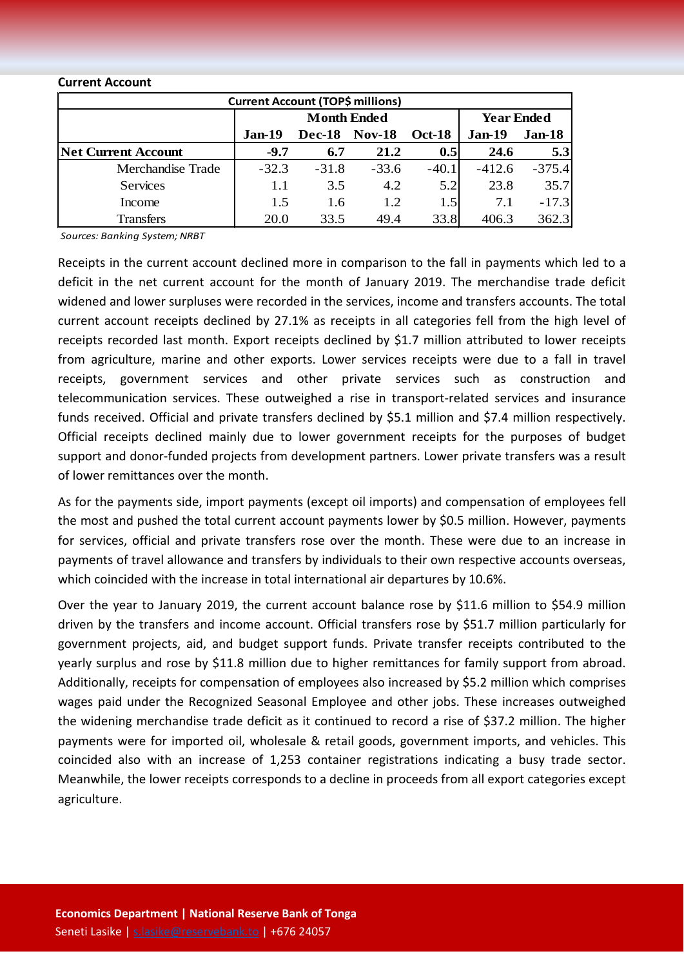#### **Current Account**

| <b>Current Account (TOP\$ millions)</b> |          |                    |                   |               |          |          |  |  |  |
|-----------------------------------------|----------|--------------------|-------------------|---------------|----------|----------|--|--|--|
|                                         |          | <b>Month Ended</b> | <b>Year Ended</b> |               |          |          |  |  |  |
|                                         | $Jan-19$ | <b>Dec-18</b>      | <b>Nov-18</b>     | <b>Oct-18</b> | Jan-19   | Jan-18   |  |  |  |
| <b>Net Current Account</b>              | $-9.7$   | 6.7                | 21.2              | 0.5           | 24.6     | 5.3      |  |  |  |
| Merchandise Trade                       | $-32.3$  | $-31.8$            | $-33.6$           | $-40.1$       | $-412.6$ | $-375.4$ |  |  |  |
| <b>Services</b>                         | 1.1      | 3.5                | 4.2               | 5.2           | 23.8     | 35.7     |  |  |  |
| Income                                  | 1.5      | 1.6                | 1.2               | 1.5           | 7.1      | $-17.3$  |  |  |  |
| <b>Transfers</b>                        | 20.0     | 33.5               | 49.4              | 33.8          | 406.3    | 362.3    |  |  |  |

*Sources: Banking System; NRBT*

Receipts in the current account declined more in comparison to the fall in payments which led to a deficit in the net current account for the month of January 2019. The merchandise trade deficit widened and lower surpluses were recorded in the services, income and transfers accounts. The total current account receipts declined by 27.1% as receipts in all categories fell from the high level of receipts recorded last month. Export receipts declined by \$1.7 million attributed to lower receipts from agriculture, marine and other exports. Lower services receipts were due to a fall in travel receipts, government services and other private services such as construction and telecommunication services. These outweighed a rise in transport-related services and insurance funds received. Official and private transfers declined by \$5.1 million and \$7.4 million respectively. Official receipts declined mainly due to lower government receipts for the purposes of budget support and donor-funded projects from development partners. Lower private transfers was a result of lower remittances over the month.

As for the payments side, import payments (except oil imports) and compensation of employees fell the most and pushed the total current account payments lower by \$0.5 million. However, payments for services, official and private transfers rose over the month. These were due to an increase in payments of travel allowance and transfers by individuals to their own respective accounts overseas, which coincided with the increase in total international air departures by 10.6%.

Over the year to January 2019, the current account balance rose by \$11.6 million to \$54.9 million driven by the transfers and income account. Official transfers rose by \$51.7 million particularly for government projects, aid, and budget support funds. Private transfer receipts contributed to the yearly surplus and rose by \$11.8 million due to higher remittances for family support from abroad. Additionally, receipts for compensation of employees also increased by \$5.2 million which comprises wages paid under the Recognized Seasonal Employee and other jobs. These increases outweighed the widening merchandise trade deficit as it continued to record a rise of \$37.2 million. The higher payments were for imported oil, wholesale & retail goods, government imports, and vehicles. This coincided also with an increase of 1,253 container registrations indicating a busy trade sector. Meanwhile, the lower receipts corresponds to a decline in proceeds from all export categories except agriculture.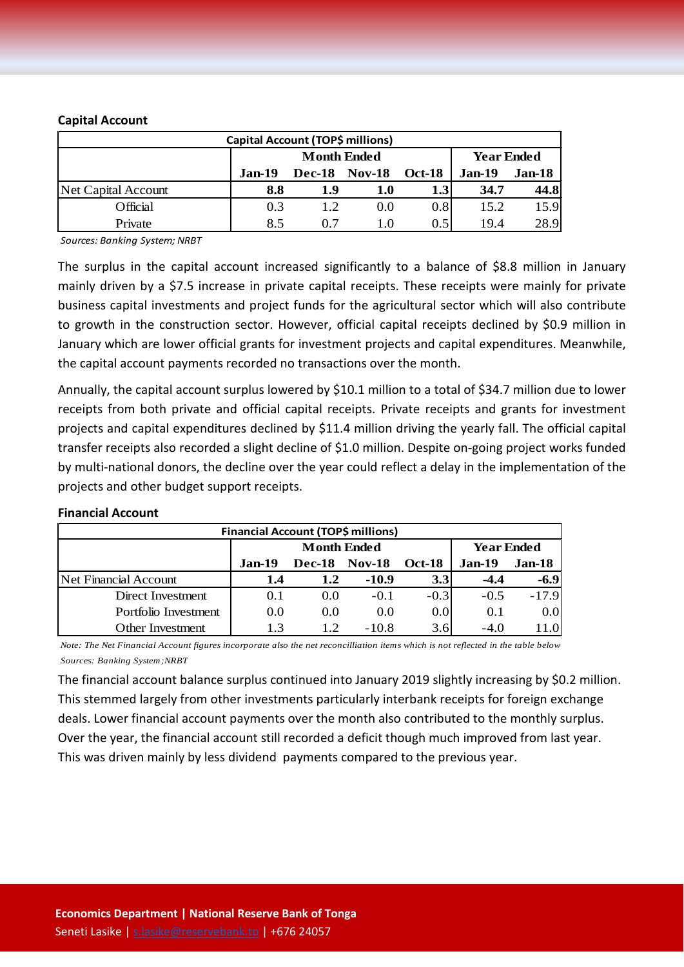#### **Capital Account**

| Capital Account (TOP\$ millions) |          |                      |                   |                  |        |        |  |  |  |
|----------------------------------|----------|----------------------|-------------------|------------------|--------|--------|--|--|--|
|                                  |          | <b>Month Ended</b>   | <b>Year Ended</b> |                  |        |        |  |  |  |
|                                  | $Jan-19$ | <b>Dec-18 Nov-18</b> |                   | <b>Oct-18</b>    | Jan-19 | Jan-18 |  |  |  |
| Net Capital Account              | 8.8      | 1.9                  | 1.0               | 1.3 <sub>l</sub> | 34.7   | 44.8   |  |  |  |
| Official                         | 0.3      | 12                   | (0.0)             | 0.8              | 15.2   | 15.9   |  |  |  |
| Private                          | 8.5      | 0.7                  | 1.0               | $0.5^{\circ}$    | 194    | 28.9   |  |  |  |

*Sources: Banking System; NRBT*

The surplus in the capital account increased significantly to a balance of \$8.8 million in January mainly driven by a \$7.5 increase in private capital receipts. These receipts were mainly for private business capital investments and project funds for the agricultural sector which will also contribute to growth in the construction sector. However, official capital receipts declined by \$0.9 million in January which are lower official grants for investment projects and capital expenditures. Meanwhile, the capital account payments recorded no transactions over the month.

Annually, the capital account surplus lowered by \$10.1 million to a total of \$34.7 million due to lower receipts from both private and official capital receipts. Private receipts and grants for investment projects and capital expenditures declined by \$11.4 million driving the yearly fall. The official capital transfer receipts also recorded a slight decline of \$1.0 million. Despite on-going project works funded by multi-national donors, the decline over the year could reflect a delay in the implementation of the projects and other budget support receipts.

| Financial Account (TOP\$ millions) |               |                      |                   |               |               |                  |  |  |  |
|------------------------------------|---------------|----------------------|-------------------|---------------|---------------|------------------|--|--|--|
|                                    |               | <b>Month Ended</b>   | <b>Year Ended</b> |               |               |                  |  |  |  |
|                                    | <b>Jan-19</b> | <b>Dec-18 Nov-18</b> |                   | <b>Oct-18</b> | <b>Jan-19</b> | $Jan-18$         |  |  |  |
| Net Financial Account              | 1.4           | 1.2                  | $-10.9$           | 3.3           | $-4.4$        | $-6.9$           |  |  |  |
| Direct Investment                  | 0.1           | 0.0                  | $-0.1$            | $-0.3$        | $-0.5$        | $-17.9$          |  |  |  |
| Portfolio Investment               | 0.0           | 0.0                  | 0.0               | 0.0           | 0.1           | 0.0 <sub>l</sub> |  |  |  |
| Other Investment                   | 1.3           | 12                   | $-10.8$           | 3.6           | $-4.0$        | 11.0             |  |  |  |

#### **Financial Account**

*Note: The Net Financial Account figures incorporate also the net reconcilliation items which is not reflected in the table below Sources: Banking System;NRBT*

The financial account balance surplus continued into January 2019 slightly increasing by \$0.2 million. This stemmed largely from other investments particularly interbank receipts for foreign exchange deals. Lower financial account payments over the month also contributed to the monthly surplus. Over the year, the financial account still recorded a deficit though much improved from last year. This was driven mainly by less dividend payments compared to the previous year.